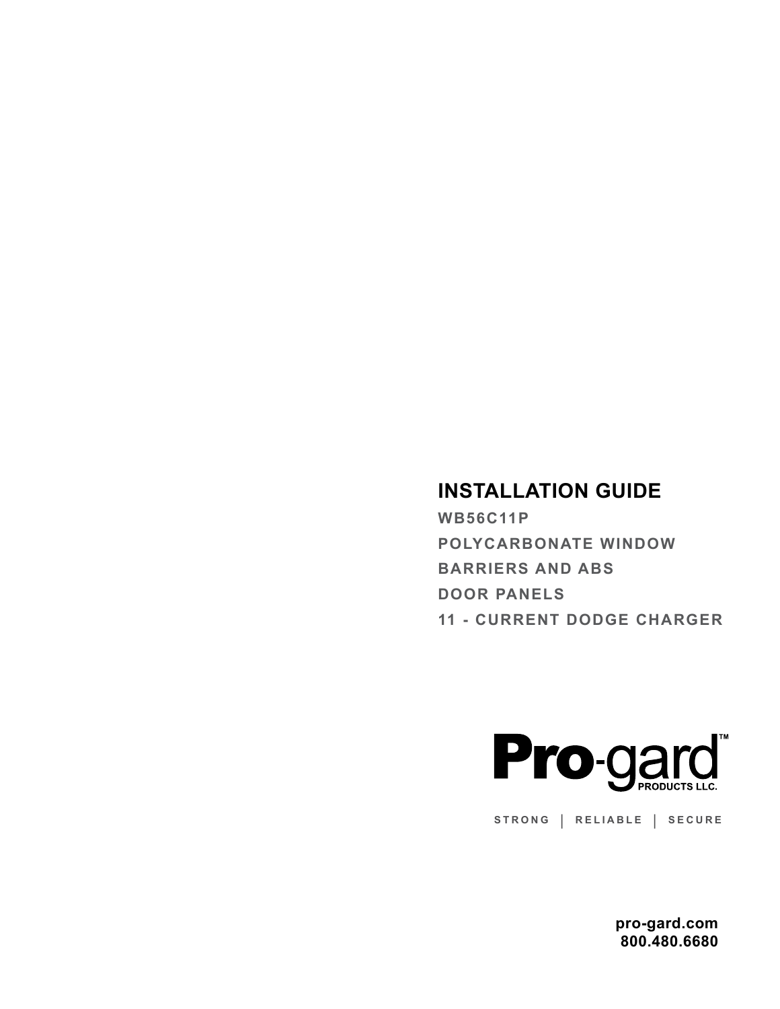## **INSTALLATION GUIDE**

**WB56C11P POLYCARBONATE WINDOW BARRIERS AND ABS DOOR PANELS 11 - CURRENT DODGE CHARGER**



**STRONG | RELIABLE | SECURE**

**pro-gard.com 800.480.6680**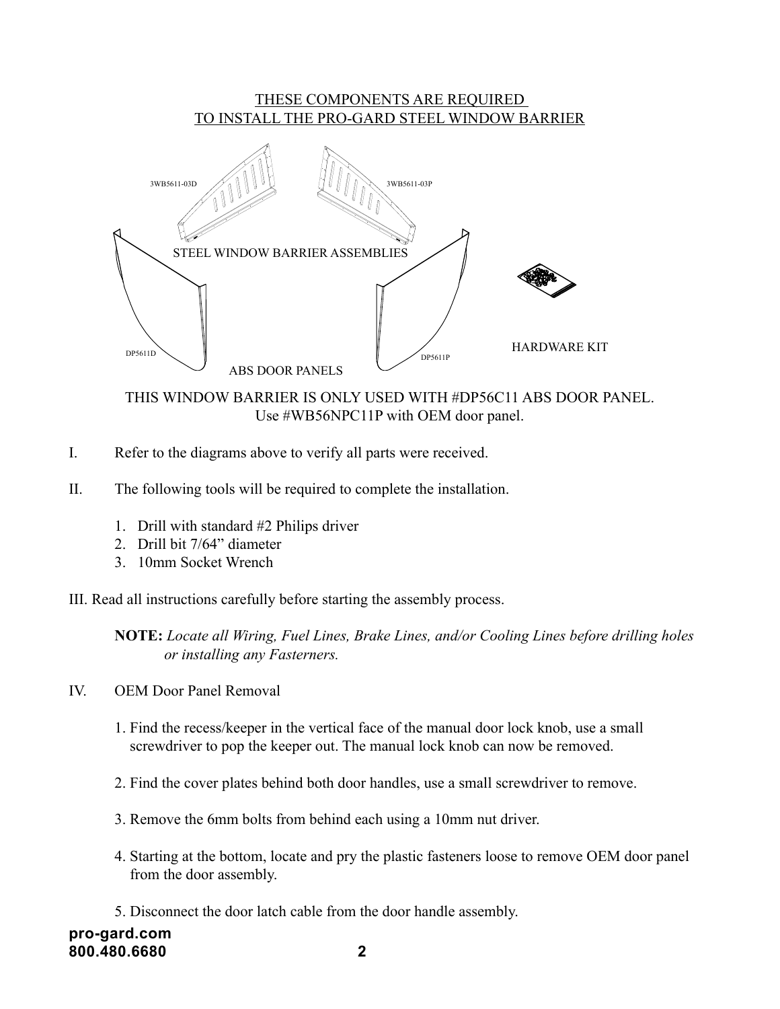## THESE COMPONENTS ARE REQUIRED TO INSTALL THE PRO-GARD STEEL WINDOW BARRIER



THIS WINDOW BARRIER IS ONLY USED WITH #DP56C11 ABS DOOR PANEL. Use #WB56NPC11P with OEM door panel.

- I. Refer to the diagrams above to verify all parts were received.
- II. The following tools will be required to complete the installation.
	- 1. Drill with standard #2 Philips driver
	- 2. Drill bit 7/64" diameter
	- 3. 10mm Socket Wrench

III. Read all instructions carefully before starting the assembly process.

**NOTE:** *Locate all Wiring, Fuel Lines, Brake Lines, and/or Cooling Lines before drilling holes or installing any Fasterners.*

- IV. OEM Door Panel Removal
	- 1. Find the recess/keeper in the vertical face of the manual door lock knob, use a small screwdriver to pop the keeper out. The manual lock knob can now be removed.
	- 2. Find the cover plates behind both door handles, use a small screwdriver to remove.
	- 3. Remove the 6mm bolts from behind each using a 10mm nut driver.
	- 4. Starting at the bottom, locate and pry the plastic fasteners loose to remove OEM door panel from the door assembly.
	- 5. Disconnect the door latch cable from the door handle assembly.

**pro-gard.com 800.480.6680 2**